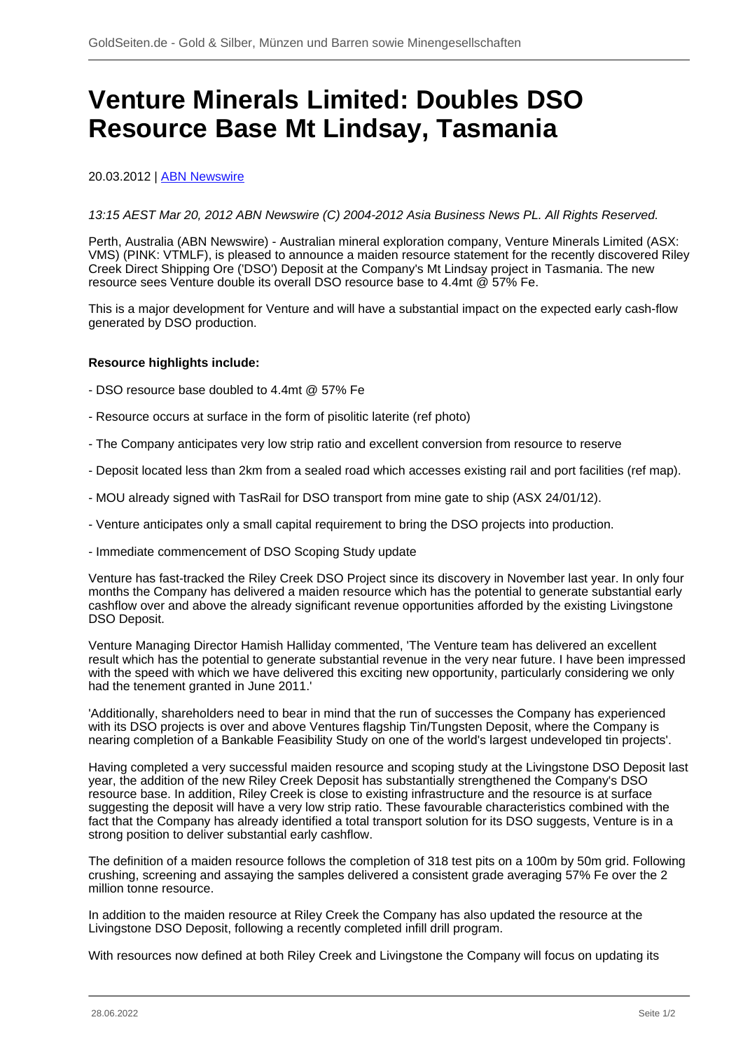# **Venture Minerals Limited: Doubles DSO Resource Base Mt Lindsay, Tasmania**

## 20.03.2012 | **ABN Newswire**

13:15 AEST Mar 20, 2012 ABN Newswire (C) 2004-2012 Asia Business News PL. All Rights Reserved.

Perth, Australia (ABN Newswire) - Australian mineral exploration company, Venture Minerals Limited (ASX: VMS) (PINK: VTMLF), is pleased to announce a maiden resource statement for the recently discovered Riley Creek Direct Shipping Ore ('DSO') Deposit at the Company's Mt Lindsay project in Tasmania. The new resource sees Venture double its overall DSO resource base to 4.4mt @ 57% Fe.

This is a major development for Venture and will have a substantial impact on the expected early cash-flow generated by DSO production.

#### **Resource highlights include:**

- DSO resource base doubled to 4.4mt @ 57% Fe
- Resource occurs at surface in the form of pisolitic laterite (ref photo)
- The Company anticipates very low strip ratio and excellent conversion from resource to reserve
- Deposit located less than 2km from a sealed road which accesses existing rail and port facilities (ref map).
- MOU already signed with TasRail for DSO transport from mine gate to ship (ASX 24/01/12).
- Venture anticipates only a small capital requirement to bring the DSO projects into production.
- Immediate commencement of DSO Scoping Study update

Venture has fast-tracked the Riley Creek DSO Project since its discovery in November last year. In only four months the Company has delivered a maiden resource which has the potential to generate substantial early cashflow over and above the already significant revenue opportunities afforded by the existing Livingstone DSO Deposit.

Venture Managing Director Hamish Halliday commented, 'The Venture team has delivered an excellent result which has the potential to generate substantial revenue in the very near future. I have been impressed with the speed with which we have delivered this exciting new opportunity, particularly considering we only had the tenement granted in June 2011.'

'Additionally, shareholders need to bear in mind that the run of successes the Company has experienced with its DSO projects is over and above Ventures flagship Tin/Tungsten Deposit, where the Company is nearing completion of a Bankable Feasibility Study on one of the world's largest undeveloped tin projects'.

Having completed a very successful maiden resource and scoping study at the Livingstone DSO Deposit last year, the addition of the new Riley Creek Deposit has substantially strengthened the Company's DSO resource base. In addition, Riley Creek is close to existing infrastructure and the resource is at surface suggesting the deposit will have a very low strip ratio. These favourable characteristics combined with the fact that the Company has already identified a total transport solution for its DSO suggests, Venture is in a strong position to deliver substantial early cashflow.

The definition of a maiden resource follows the completion of 318 test pits on a 100m by 50m grid. Following crushing, screening and assaying the samples delivered a consistent grade averaging 57% Fe over the 2 million tonne resource.

In addition to the maiden resource at Riley Creek the Company has also updated the resource at the Livingstone DSO Deposit, following a recently completed infill drill program.

With resources now defined at both Riley Creek and Livingstone the Company will focus on updating its